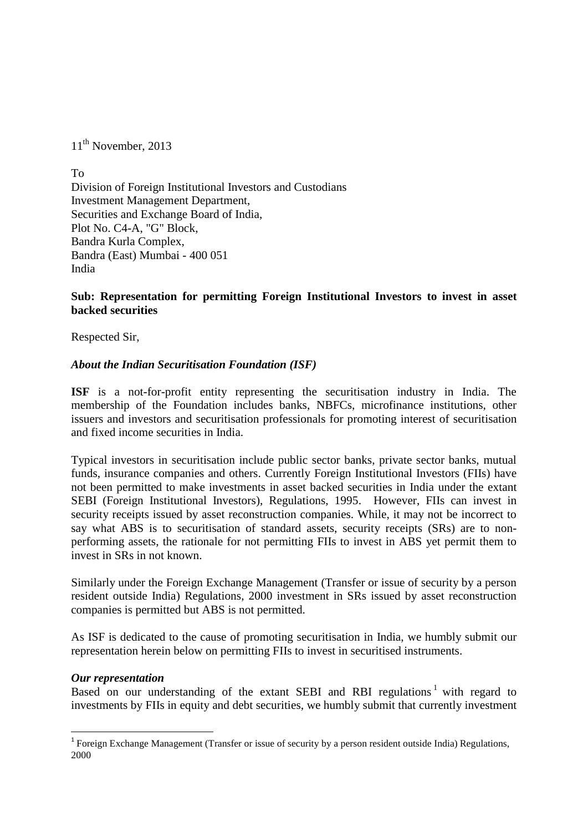11<sup>th</sup> November, 2013

To Division of Foreign Institutional Investors and Custodians Investment Management Department, Securities and Exchange Board of India, Plot No. C4-A, "G" Block, Bandra Kurla Complex, Bandra (East) Mumbai - 400 051 India

### **Sub: Representation for permitting Foreign Institutional Investors to invest in asset backed securities**

Respected Sir,

#### *About the Indian Securitisation Foundation (ISF)*

**ISF** is a not-for-profit entity representing the securitisation industry in India. The membership of the Foundation includes banks, NBFCs, microfinance institutions, other issuers and investors and securitisation professionals for promoting interest of securitisation and fixed income securities in India.

Typical investors in securitisation include public sector banks, private sector banks, mutual funds, insurance companies and others. Currently Foreign Institutional Investors (FIIs) have not been permitted to make investments in asset backed securities in India under the extant SEBI (Foreign Institutional Investors), Regulations, 1995. However, FIIs can invest in security receipts issued by asset reconstruction companies. While, it may not be incorrect to say what ABS is to securitisation of standard assets, security receipts (SRs) are to nonperforming assets, the rationale for not permitting FIIs to invest in ABS yet permit them to invest in SRs in not known.

Similarly under the Foreign Exchange Management (Transfer or issue of security by a person resident outside India) Regulations, 2000 investment in SRs issued by asset reconstruction companies is permitted but ABS is not permitted.

As ISF is dedicated to the cause of promoting securitisation in India, we humbly submit our representation herein below on permitting FIIs to invest in securitised instruments.

#### *Our representation*

<u>.</u>

Based on our understanding of the extant SEBI and RBI regulations<sup>1</sup> with regard to investments by FIIs in equity and debt securities, we humbly submit that currently investment

<sup>&</sup>lt;sup>1</sup> Foreign Exchange Management (Transfer or issue of security by a person resident outside India) Regulations, 2000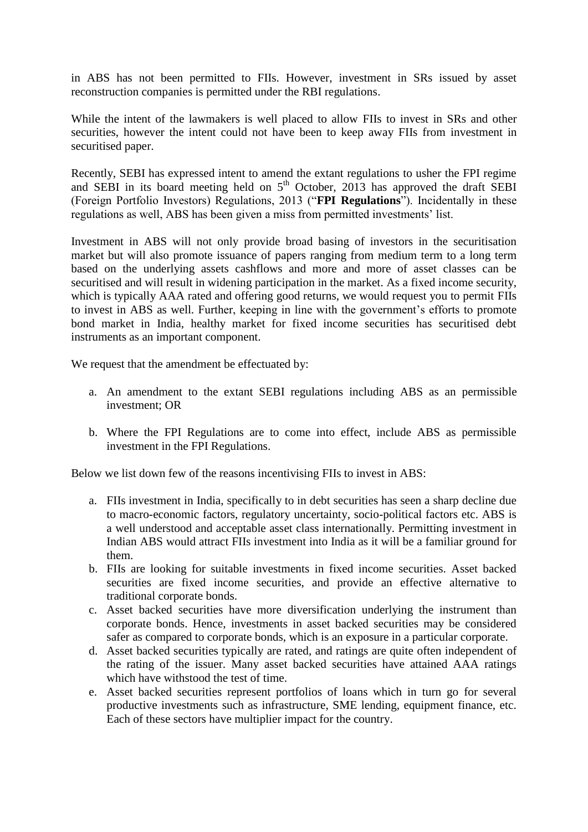in ABS has not been permitted to FIIs. However, investment in SRs issued by asset reconstruction companies is permitted under the RBI regulations.

While the intent of the lawmakers is well placed to allow FIIs to invest in SRs and other securities, however the intent could not have been to keep away FIIs from investment in securitised paper.

Recently, SEBI has expressed intent to amend the extant regulations to usher the FPI regime and SEBI in its board meeting held on  $5<sup>th</sup>$  October, 2013 has approved the draft SEBI (Foreign Portfolio Investors) Regulations, 2013 ("**FPI Regulations**"). Incidentally in these regulations as well, ABS has been given a miss from permitted investments' list.

Investment in ABS will not only provide broad basing of investors in the securitisation market but will also promote issuance of papers ranging from medium term to a long term based on the underlying assets cashflows and more and more of asset classes can be securitised and will result in widening participation in the market. As a fixed income security, which is typically AAA rated and offering good returns, we would request you to permit FIIs to invest in ABS as well. Further, keeping in line with the government's efforts to promote bond market in India, healthy market for fixed income securities has securitised debt instruments as an important component.

We request that the amendment be effectuated by:

- a. An amendment to the extant SEBI regulations including ABS as an permissible investment; OR
- b. Where the FPI Regulations are to come into effect, include ABS as permissible investment in the FPI Regulations.

Below we list down few of the reasons incentivising FIIs to invest in ABS:

- a. FIIs investment in India, specifically to in debt securities has seen a sharp decline due to macro-economic factors, regulatory uncertainty, socio-political factors etc. ABS is a well understood and acceptable asset class internationally. Permitting investment in Indian ABS would attract FIIs investment into India as it will be a familiar ground for them.
- b. FIIs are looking for suitable investments in fixed income securities. Asset backed securities are fixed income securities, and provide an effective alternative to traditional corporate bonds.
- c. Asset backed securities have more diversification underlying the instrument than corporate bonds. Hence, investments in asset backed securities may be considered safer as compared to corporate bonds, which is an exposure in a particular corporate.
- d. Asset backed securities typically are rated, and ratings are quite often independent of the rating of the issuer. Many asset backed securities have attained AAA ratings which have withstood the test of time.
- e. Asset backed securities represent portfolios of loans which in turn go for several productive investments such as infrastructure, SME lending, equipment finance, etc. Each of these sectors have multiplier impact for the country.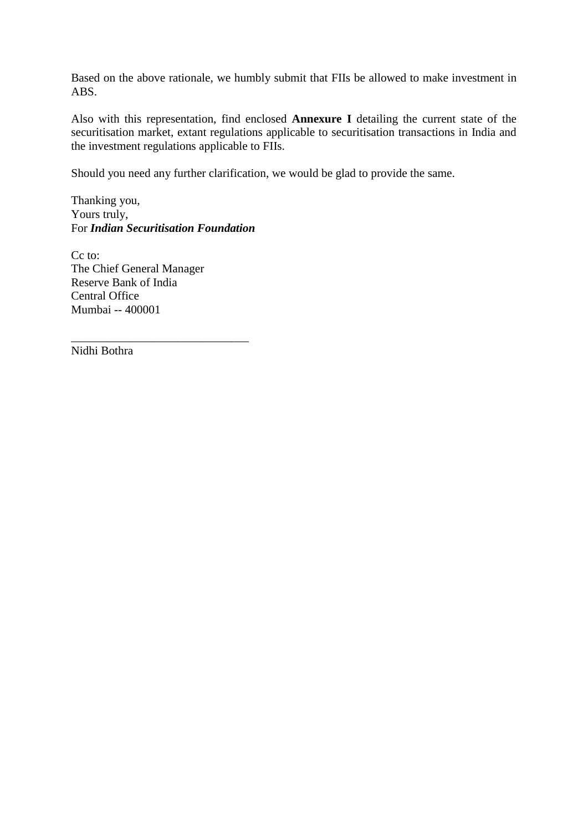Based on the above rationale, we humbly submit that FIIs be allowed to make investment in ABS.

Also with this representation, find enclosed **Annexure I** detailing the current state of the securitisation market, extant regulations applicable to securitisation transactions in India and the investment regulations applicable to FIIs.

Should you need any further clarification, we would be glad to provide the same.

Thanking you, Yours truly, For *Indian Securitisation Foundation*

\_\_\_\_\_\_\_\_\_\_\_\_\_\_\_\_\_\_\_\_\_\_\_\_\_\_\_\_\_\_

Cc to: The Chief General Manager Reserve Bank of India Central Office Mumbai -- 400001

Nidhi Bothra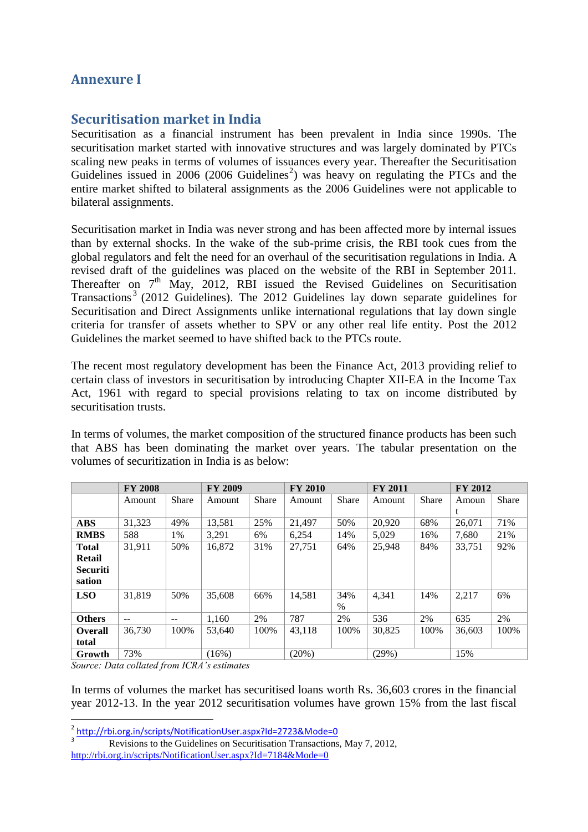# **Annexure I**

## **Securitisation market in India**

Securitisation as a financial instrument has been prevalent in India since 1990s. The securitisation market started with innovative structures and was largely dominated by PTCs scaling new peaks in terms of volumes of issuances every year. Thereafter the Securitisation Guidelines issued in 2006 (2006 Guidelines<sup>2</sup>) was heavy on regulating the PTCs and the entire market shifted to bilateral assignments as the 2006 Guidelines were not applicable to bilateral assignments.

Securitisation market in India was never strong and has been affected more by internal issues than by external shocks. In the wake of the sub-prime crisis, the RBI took cues from the global regulators and felt the need for an overhaul of the securitisation regulations in India. A revised draft of the guidelines was placed on the website of the RBI in September 2011. Thereafter on  $7<sup>th</sup>$  May, 2012, RBI issued the Revised Guidelines on Securitisation Transactions<sup>3</sup> (2012 Guidelines). The 2012 Guidelines lay down separate guidelines for Securitisation and Direct Assignments unlike international regulations that lay down single criteria for transfer of assets whether to SPV or any other real life entity. Post the 2012 Guidelines the market seemed to have shifted back to the PTCs route.

The recent most regulatory development has been the Finance Act, 2013 providing relief to certain class of investors in securitisation by introducing Chapter XII-EA in the Income Tax Act, 1961 with regard to special provisions relating to tax on income distributed by securitisation trusts.

In terms of volumes, the market composition of the structured finance products has been such that ABS has been dominating the market over years. The tabular presentation on the volumes of securitization in India is as below:

|                 | <b>FY 2008</b> |              | <b>FY 2009</b> |              | <b>FY 2010</b> |              | <b>FY 2011</b> |              | <b>FY 2012</b> |       |
|-----------------|----------------|--------------|----------------|--------------|----------------|--------------|----------------|--------------|----------------|-------|
|                 | Amount         | <b>Share</b> | Amount         | <b>Share</b> | Amount         | <b>Share</b> | Amount         | <b>Share</b> | Amoun          | Share |
|                 |                |              |                |              |                |              |                |              |                |       |
| <b>ABS</b>      | 31,323         | 49%          | 13,581         | 25%          | 21.497         | 50%          | 20,920         | 68%          | 26,071         | 71%   |
| <b>RMBS</b>     | 588            | 1%           | 3.291          | 6%           | 6,254          | 14%          | 5.029          | 16%          | 7.680          | 21%   |
| <b>Total</b>    | 31,911         | 50%          | 16,872         | 31%          | 27,751         | 64%          | 25,948         | 84%          | 33,751         | 92%   |
| <b>Retail</b>   |                |              |                |              |                |              |                |              |                |       |
| <b>Securiti</b> |                |              |                |              |                |              |                |              |                |       |
| sation          |                |              |                |              |                |              |                |              |                |       |
| <b>LSO</b>      | 31,819         | 50%          | 35,608         | 66%          | 14,581         | 34%          | 4.341          | 14%          | 2,217          | 6%    |
|                 |                |              |                |              |                | $\%$         |                |              |                |       |
| <b>Others</b>   | $- -$          | $-$          | 1,160          | 2%           | 787            | 2%           | 536            | 2%           | 635            | 2%    |
| <b>Overall</b>  | 36,730         | 100%         | 53.640         | 100%         | 43,118         | 100%         | 30,825         | 100%         | 36.603         | 100%  |
| total           |                |              |                |              |                |              |                |              |                |       |
| Growth          | 73%            |              | (16%)          |              | (20%)          |              | (29%)          |              | 15%            |       |

*Source: Data collated from ICRA's estimates*

In terms of volumes the market has securitised loans worth Rs. 36,603 crores in the financial year 2012-13. In the year 2012 securitisation volumes have grown 15% from the last fiscal

<sup>-&</sup>lt;br>
<u>2 <http://rbi.org.in/scripts/NotificationUser.aspx?Id=2723&Mode=0></u><br>
2 Doutsions to the Guidelines on Sequrification Transactions

Revisions to the Guidelines on Securitisation Transactions, May 7, 2012, <http://rbi.org.in/scripts/NotificationUser.aspx?Id=7184&Mode=0>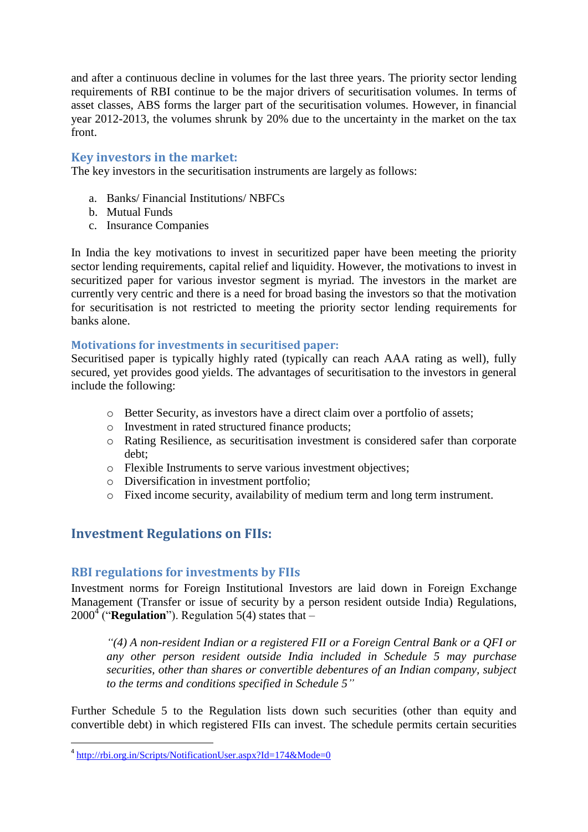and after a continuous decline in volumes for the last three years. The priority sector lending requirements of RBI continue to be the major drivers of securitisation volumes. In terms of asset classes, ABS forms the larger part of the securitisation volumes. However, in financial year 2012-2013, the volumes shrunk by 20% due to the uncertainty in the market on the tax front.

### **Key investors in the market:**

The key investors in the securitisation instruments are largely as follows:

- a. Banks/ Financial Institutions/ NBFCs
- b. Mutual Funds
- c. Insurance Companies

In India the key motivations to invest in securitized paper have been meeting the priority sector lending requirements, capital relief and liquidity. However, the motivations to invest in securitized paper for various investor segment is myriad. The investors in the market are currently very centric and there is a need for broad basing the investors so that the motivation for securitisation is not restricted to meeting the priority sector lending requirements for banks alone.

#### **Motivations for investments in securitised paper:**

Securitised paper is typically highly rated (typically can reach AAA rating as well), fully secured, yet provides good yields. The advantages of securitisation to the investors in general include the following:

- o Better Security, as investors have a direct claim over a portfolio of assets;
- o Investment in rated structured finance products;
- o Rating Resilience, as securitisation investment is considered safer than corporate debt;
- o Flexible Instruments to serve various investment objectives;
- o Diversification in investment portfolio;
- o Fixed income security, availability of medium term and long term instrument.

# **Investment Regulations on FIIs:**

### **RBI regulations for investments by FIIs**

Investment norms for Foreign Institutional Investors are laid down in Foreign Exchange Management (Transfer or issue of security by a person resident outside India) Regulations,  $2000<sup>4</sup>$  ("**Regulation**"). Regulation 5(4) states that –

*"(4) A non-resident Indian or a registered FII or a Foreign Central Bank or a QFI or any other person resident outside India included in Schedule 5 may purchase securities, other than shares or convertible debentures of an Indian company, subject to the terms and conditions specified in Schedule 5"*

Further Schedule 5 to the Regulation lists down such securities (other than equity and convertible debt) in which registered FIIs can invest. The schedule permits certain securities

<sup>-&</sup>lt;br><sup>4</sup> <http://rbi.org.in/Scripts/NotificationUser.aspx?Id=174&Mode=0>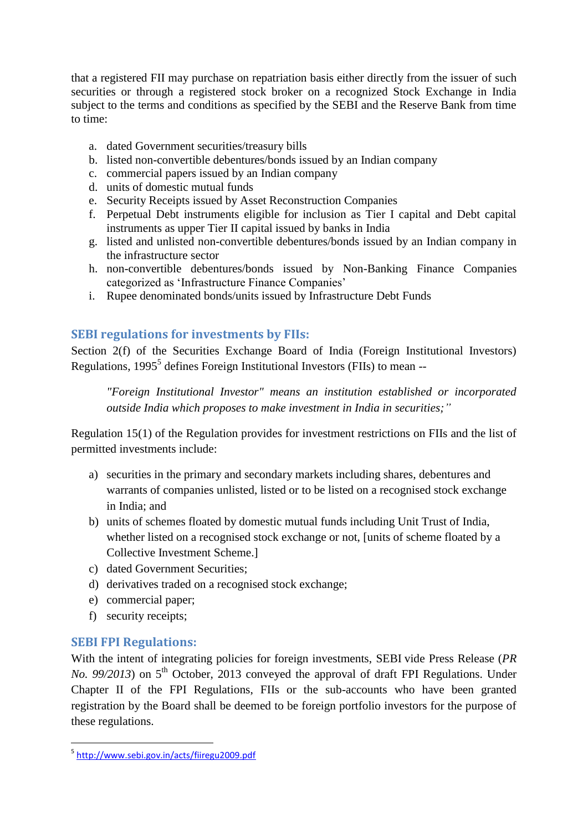that a registered FII may purchase on repatriation basis either directly from the issuer of such securities or through a registered stock broker on a recognized Stock Exchange in India subject to the terms and conditions as specified by the SEBI and the Reserve Bank from time to time:

- a. dated Government securities/treasury bills
- b. listed non-convertible debentures/bonds issued by an Indian company
- c. commercial papers issued by an Indian company
- d. units of domestic mutual funds
- e. Security Receipts issued by Asset Reconstruction Companies
- f. Perpetual Debt instruments eligible for inclusion as Tier I capital and Debt capital instruments as upper Tier II capital issued by banks in India
- g. listed and unlisted non-convertible debentures/bonds issued by an Indian company in the infrastructure sector
- h. non-convertible debentures/bonds issued by Non-Banking Finance Companies categorized as 'Infrastructure Finance Companies'
- i. Rupee denominated bonds/units issued by Infrastructure Debt Funds

# **SEBI regulations for investments by FIIs:**

Section 2(f) of the Securities Exchange Board of India (Foreign Institutional Investors) Regulations,  $1995<sup>5</sup>$  defines Foreign Institutional Investors (FIIs) to mean --

*"Foreign Institutional Investor" means an institution established or incorporated outside India which proposes to make investment in India in securities;"*

Regulation 15(1) of the Regulation provides for investment restrictions on FIIs and the list of permitted investments include:

- a) securities in the primary and secondary markets including shares, debentures and warrants of companies unlisted, listed or to be listed on a recognised stock exchange in India; and
- b) units of schemes floated by domestic mutual funds including Unit Trust of India, whether listed on a recognised stock exchange or not, [units of scheme floated by a Collective Investment Scheme.]
- c) dated Government Securities;
- d) derivatives traded on a recognised stock exchange;
- e) commercial paper;
- f) security receipts;

## **SEBI FPI Regulations:**

With the intent of integrating policies for foreign investments, SEBI vide Press Release (*PR No. 99/2013*) on 5<sup>th</sup> October, 2013 conveyed the approval of draft FPI Regulations. Under Chapter II of the FPI Regulations, FIIs or the sub-accounts who have been granted registration by the Board shall be deemed to be foreign portfolio investors for the purpose of these regulations.

 5 <http://www.sebi.gov.in/acts/fiiregu2009.pdf>